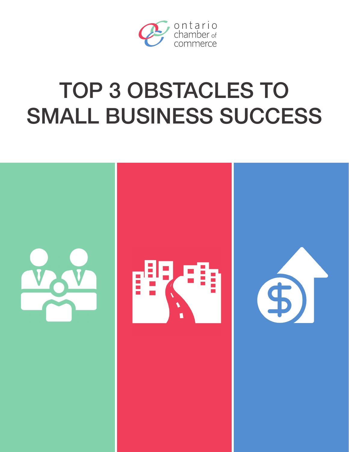

# TOP 3 OBSTACLES TO SMALL BUSINESS SUCCESS

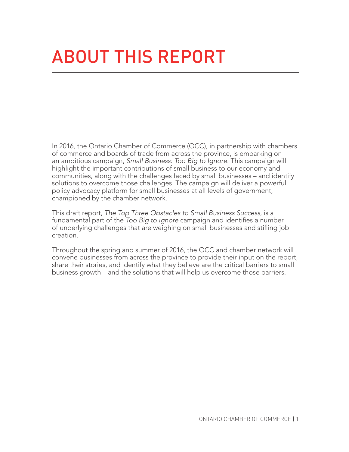## About this report

In 2016, the Ontario Chamber of Commerce (OCC), in partnership with chambers of commerce and boards of trade from across the province, is embarking on an ambitious campaign, *Small Business: Too Big to Ignore*. This campaign will highlight the important contributions of small business to our economy and communities, along with the challenges faced by small businesses – and identify solutions to overcome those challenges. The campaign will deliver a powerful policy advocacy platform for small businesses at all levels of government, championed by the chamber network.

This draft report, *The Top Three Obstacles to Small Business Success*, is a fundamental part of the *Too Big to Ignore* campaign and identifies a number of underlying challenges that are weighing on small businesses and stifling job creation.

Throughout the spring and summer of 2016, the OCC and chamber network will convene businesses from across the province to provide their input on the report, share their stories, and identify what they believe are the critical barriers to small business growth – and the solutions that will help us overcome those barriers.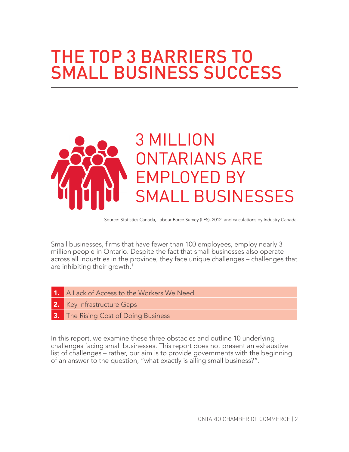### THE TOP 3 BARRIERS TO **SMALL BUSINESS SUCCESS**



Source: Statistics Canada, Labour Force Survey (LFS), 2012, and calculations by Industry Canada.

Small businesses, firms that have fewer than 100 employees, employ nearly 3 million people in Ontario. Despite the fact that small businesses also operate across all industries in the province, they face unique challenges – challenges that are inhibiting their growth.<sup>1</sup>

- 1. A Lack of Access to the Workers We Need
- 2. Key Infrastructure Gaps
- The Rising Cost of Doing Business

In this report, we examine these three obstacles and outline 10 underlying challenges facing small businesses. This report does not present an exhaustive list of challenges – rather, our aim is to provide governments with the beginning of an answer to the question, "what exactly is ailing small business?".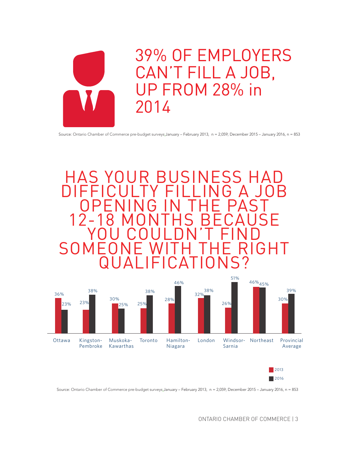

39% OF EMPLOYERS CAN'T FILL A JOB, UP FROM 28% in 2014

Source: Ontario Chamber of Commerce pre-budget surveys:January – February 2013, n = 2,059; December 2015 – January 2016, n = 853





Source: Ontario Chamber of Commerce pre-budget surveys:January – February 2013, n = 2,059; December 2015 – January 2016, n = 853

ONTARIO CHAMBER OF COMMERCE | 3

2016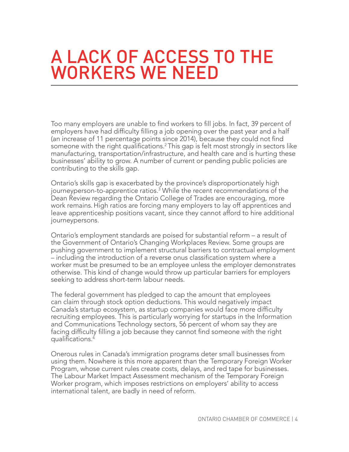### A Lack of Access to the Workers We Need

Too many employers are unable to find workers to fill jobs. In fact, 39 percent of employers have had difficulty filling a job opening over the past year and a half (an increase of 11 percentage points since 2014), because they could not find someone with the right qualifications.<sup>2</sup> This gap is felt most strongly in sectors like manufacturing, transportation/infrastructure, and health care and is hurting these businesses' ability to grow. A number of current or pending public policies are contributing to the skills gap.

Ontario's skills gap is exacerbated by the province's disproportionately high journeyperson-to-apprentice ratios.<sup>3</sup> While the recent recommendations of the Dean Review regarding the Ontario College of Trades are encouraging, more work remains. High ratios are forcing many employers to lay off apprentices and leave apprenticeship positions vacant, since they cannot afford to hire additional journeypersons.

Ontario's employment standards are poised for substantial reform – a result of the Government of Ontario's Changing Workplaces Review. Some groups are pushing government to implement structural barriers to contractual employment – including the introduction of a reverse onus classification system where a worker must be presumed to be an employee unless the employer demonstrates otherwise. This kind of change would throw up particular barriers for employers seeking to address short-term labour needs.

The federal government has pledged to cap the amount that employees can claim through stock option deductions. This would negatively impact Canada's startup ecosystem, as startup companies would face more difficulty recruiting employees. This is particularly worrying for startups in the Information and Communications Technology sectors, 56 percent of whom say they are facing difficulty filling a job because they cannot find someone with the right qualifications.<sup>4</sup>

Onerous rules in Canada's immigration programs deter small businesses from using them. Nowhere is this more apparent than the Temporary Foreign Worker Program, whose current rules create costs, delays, and red tape for businesses. The Labour Market Impact Assessment mechanism of the Temporary Foreign Worker program, which imposes restrictions on employers' ability to access international talent, are badly in need of reform.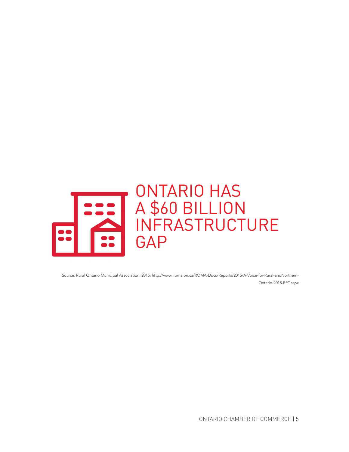

Source: Rural Ontario Municipal Association, 2015. http://www. roma.on.ca/ROMA-Docs/Reports/2015/A-Voice-for-Rural-andNorthern-Ontario-2015-RPT.aspx

ONTARIO CHAMBER OF COMMERCE | 5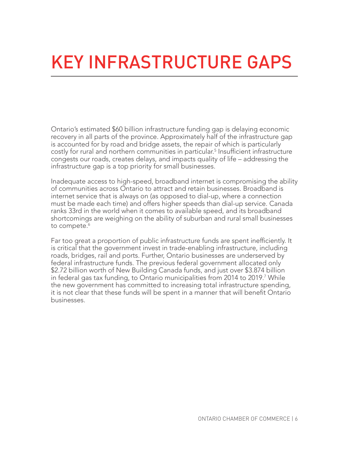### Key Infrastructure Gaps

Ontario's estimated \$60 billion infrastructure funding gap is delaying economic recovery in all parts of the province. Approximately half of the infrastructure gap is accounted for by road and bridge assets, the repair of which is particularly costly for rural and northern communities in particular.<sup>5</sup> Insufficient infrastructure congests our roads, creates delays, and impacts quality of life – addressing the infrastructure gap is a top priority for small businesses.

Inadequate access to high-speed, broadband internet is compromising the ability of communities across Ontario to attract and retain businesses. Broadband is internet service that is always on (as opposed to dial-up, where a connection must be made each time) and offers higher speeds than dial-up service. Canada ranks 33rd in the world when it comes to available speed, and its broadband shortcomings are weighing on the ability of suburban and rural small businesses to compete.<sup>6</sup>

Far too great a proportion of public infrastructure funds are spent inefficiently. It is critical that the government invest in trade-enabling infrastructure, including roads, bridges, rail and ports. Further, Ontario businesses are underserved by federal infrastructure funds. The previous federal government allocated only \$2.72 billion worth of New Building Canada funds, and just over \$3.874 billion in federal gas tax funding, to Ontario municipalities from 2014 to 2019.<sup>7</sup> While the new government has committed to increasing total infrastructure spending, it is not clear that these funds will be spent in a manner that will benefit Ontario businesses.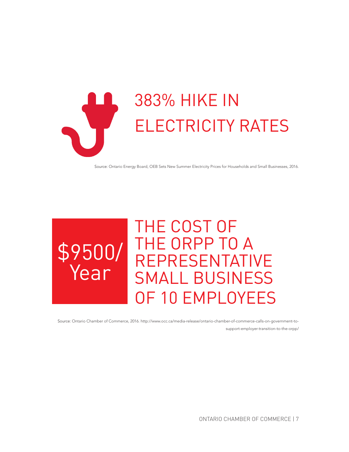

Source: Ontario Energy Board, OEB Sets New Summer Electricity Prices for Households and Small Businesses, 2016.



Source: Ontario Chamber of Commerce, 2016. http://www.occ.ca/media-release/ontario-chamber-of-commerce-calls-on-government-tosupport-employer-transition-to-the-orpp/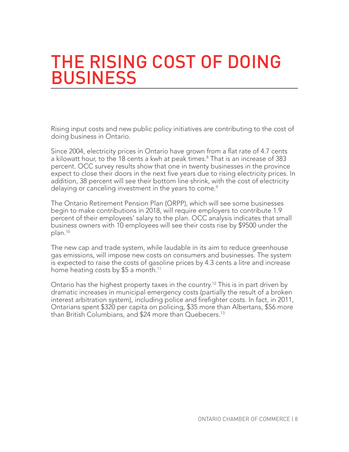#### The Rising Cost of Doing **BUSINESS**

Rising input costs and new public policy initiatives are contributing to the cost of doing business in Ontario.

Since 2004, electricity prices in Ontario have grown from a flat rate of 4.7 cents a kilowatt hour, to the 18 cents a kwh at peak times.<sup>8</sup> That is an increase of 383 percent. OCC survey results show that one in twenty businesses in the province expect to close their doors in the next five years due to rising electricity prices. In addition, 38 percent will see their bottom line shrink, with the cost of electricity delaying or canceling investment in the years to come. $\mathrm{^9}$ 

The Ontario Retirement Pension Plan (ORPP), which will see some businesses begin to make contributions in 2018, will require employers to contribute 1.9 percent of their employees' salary to the plan. OCC analysis indicates that small business owners with 10 employees will see their costs rise by \$9500 under the plan.10

The new cap and trade system, while laudable in its aim to reduce greenhouse gas emissions, will impose new costs on consumers and businesses. The system is expected to raise the costs of gasoline prices by 4.3 cents a litre and increase home heating costs by \$5 a month.<sup>11</sup>

Ontario has the highest property taxes in the country.12 This is in part driven by dramatic increases in municipal emergency costs (partially the result of a broken interest arbitration system), including police and firefighter costs. In fact, in 2011, Ontarians spent \$320 per capita on policing, \$35 more than Albertans, \$56 more than British Columbians, and \$24 more than Quebecers.<sup>13</sup>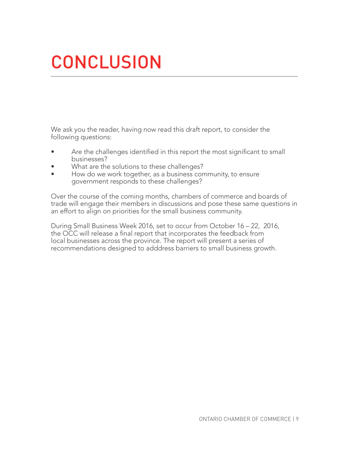### **CONCLUSION**

We ask you the reader, having now read this draft report, to consider the following questions:

- Are the challenges identified in this report the most significant to small businesses?
- What are the solutions to these challenges?
- How do we work together, as a business community, to ensure government responds to these challenges?

Over the course of the coming months, chambers of commerce and boards of trade will engage their members in discussions and pose these same questions in an effort to align on priorities for the small business community.

During Small Business Week 2016, set to occur from October 16 – 22, 2016, the OCC will release a final report that incorporates the feedback from local businesses across the province. The report will present a series of recommendations designed to adddress barriers to small business growth.